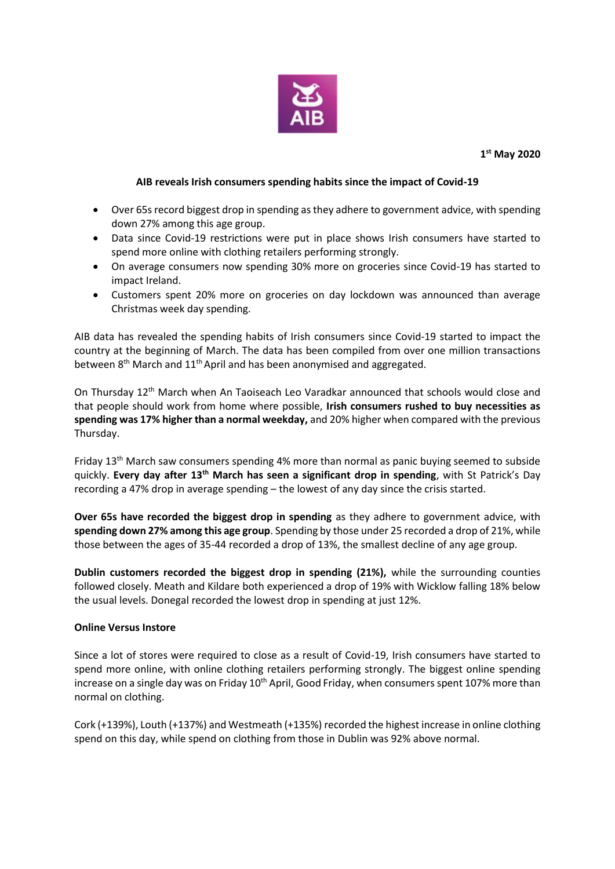

**1 st May 2020**

### **AIB reveals Irish consumers spending habits since the impact of Covid-19**

- Over 65s record biggest drop in spending as they adhere to government advice, with spending down 27% among this age group.
- Data since Covid-19 restrictions were put in place shows Irish consumers have started to spend more online with clothing retailers performing strongly.
- On average consumers now spending 30% more on groceries since Covid-19 has started to impact Ireland.
- Customers spent 20% more on groceries on day lockdown was announced than average Christmas week day spending.

AIB data has revealed the spending habits of Irish consumers since Covid-19 started to impact the country at the beginning of March. The data has been compiled from over one million transactions between 8<sup>th</sup> March and 11<sup>th</sup> April and has been anonymised and aggregated.

On Thursday 12th March when An Taoiseach Leo Varadkar announced that schools would close and that people should work from home where possible, **Irish consumers rushed to buy necessities as spending was 17% higher than a normal weekday,** and 20% higher when compared with the previous Thursday.

Friday  $13<sup>th</sup>$  March saw consumers spending 4% more than normal as panic buying seemed to subside quickly. **Every day after 13th March has seen a significant drop in spending**, with St Patrick's Day recording a 47% drop in average spending – the lowest of any day since the crisis started.

**Over 65s have recorded the biggest drop in spending** as they adhere to government advice, with **spending down 27% among this age group**. Spending by those under 25 recorded a drop of 21%, while those between the ages of 35-44 recorded a drop of 13%, the smallest decline of any age group.

**Dublin customers recorded the biggest drop in spending (21%),** while the surrounding counties followed closely. Meath and Kildare both experienced a drop of 19% with Wicklow falling 18% below the usual levels. Donegal recorded the lowest drop in spending at just 12%.

# **Online Versus Instore**

Since a lot of stores were required to close as a result of Covid-19, Irish consumers have started to spend more online, with online clothing retailers performing strongly. The biggest online spending increase on a single day was on Friday  $10^{th}$  April, Good Friday, when consumers spent 107% more than normal on clothing.

Cork (+139%), Louth (+137%) and Westmeath (+135%) recorded the highest increase in online clothing spend on this day, while spend on clothing from those in Dublin was 92% above normal.